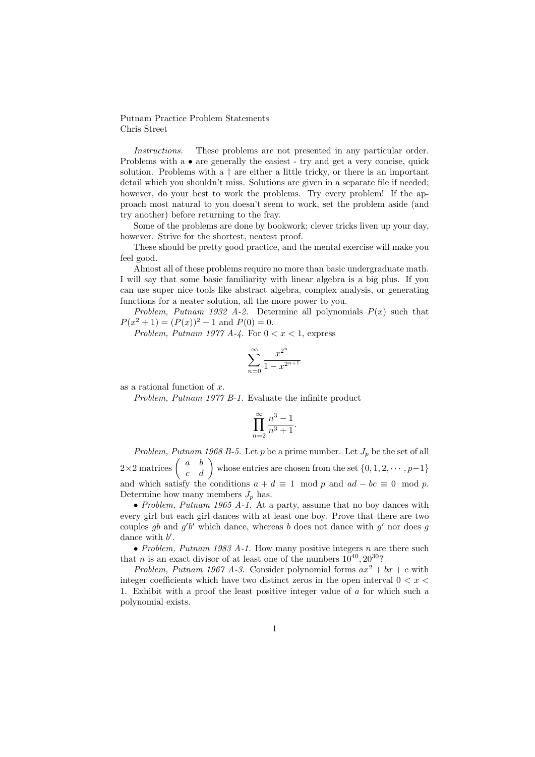Putnam Practice Problem Statements Chris Street

Instructions. These problems are not presented in any particular order. Problems with a • are generally the easiest - try and get a very concise, quick solution. Problems with a  $\dagger$  are either a little tricky, or there is an important detail which you shouldn't miss. Solutions are given in a separate file if needed; however, do your best to work the problems. Try every problem! If the approach most natural to you doesn't seem to work, set the problem aside (and try another) before returning to the fray.

Some of the problems are done by bookwork; clever tricks liven up your day, however. Strive for the shortest, neatest proof.

These should be pretty good practice, and the mental exercise will make you feel good.

Almost all of these problems require no more than basic undergraduate math. I will say that some basic familiarity with linear algebra is a big plus. If you can use super nice tools like abstract algebra, complex analysis, or generating functions for a neater solution, all the more power to you.

Problem, Putnam 1932 A-2. Determine all polynomials  $P(x)$  such that  $P(x^2 + 1) = (P(x))^2 + 1$  and  $P(0) = 0$ .

Problem, Putnam 1977 A-4. For  $0 < x < 1$ , express

$$
\sum_{n=0}^{\infty} \frac{x^{2^n}}{1 - x^{2^{n+1}}}
$$

as a rational function of x.

Problem, Putnam 1977 B-1. Evaluate the infinite product

$$
\prod_{n=2}^{\infty} \frac{n^3 - 1}{n^3 + 1}.
$$

Problem, Putnam 1968 B-5. Let p be a prime number. Let  $J_p$  be the set of all  $2\times 2$  matrices  $\begin{pmatrix} a & b \ c & d \end{pmatrix}$  whose entries are chosen from the set  $\{0, 1, 2, \cdots, p-1\}$ and which satisfy the conditions  $a + d \equiv 1 \mod p$  and  $ad - bc \equiv 0 \mod p$ . Determine how many members  $J_p$  has.

• Problem, Putnam 1965 A-1. At a party, assume that no boy dances with every girl but each girl dances with at least one boy. Prove that there are two couples gb and  $g'b'$  which dance, whereas b does not dance with  $g'$  nor does g dance with  $b'$ .

• Problem, Putnam 1983 A-1. How many positive integers  $n$  are there such that *n* is an exact divisor of at least one of the numbers  $10^{40}$ ,  $20^{30}$ ?

Problem, Putnam 1967 A-3. Consider polynomial forms  $ax^2 + bx + c$  with integer coefficients which have two distinct zeros in the open interval  $0 < x <$ 1. Exhibit with a proof the least positive integer value of a for which such a polynomial exists.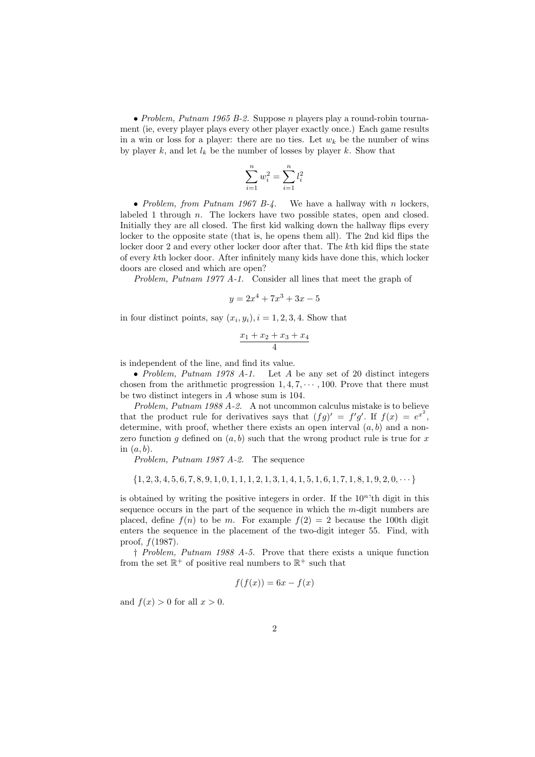• Problem, Putnam 1965 B-2. Suppose n players play a round-robin tournament (ie, every player plays every other player exactly once.) Each game results in a win or loss for a player: there are no ties. Let  $w_k$  be the number of wins by player k, and let  $l_k$  be the number of losses by player k. Show that

$$
\sum_{i=1}^{n} w_i^2 = \sum_{i=1}^{n} l_i^2
$$

• Problem, from Putnam 1967 B-4. We have a hallway with n lockers labeled 1 through n. The lockers have two possible states, open and closed. Initially they are all closed. The first kid walking down the hallway flips every locker to the opposite state (that is, he opens them all). The 2nd kid flips the locker door 2 and every other locker door after that. The kth kid flips the state of every kth locker door. After infinitely many kids have done this, which locker doors are closed and which are open?

Problem, Putnam 1977 A-1. Consider all lines that meet the graph of

$$
y = 2x^4 + 7x^3 + 3x - 5
$$

in four distinct points, say  $(x_i, y_i)$ ,  $i = 1, 2, 3, 4$ . Show that

$$
\frac{x_1+x_2+x_3+x_4}{4}
$$

is independent of the line, and find its value.

• Problem, Putnam 1978 A-1. Let  $A$  be any set of 20 distinct integers chosen from the arithmetic progression  $1, 4, 7, \cdots, 100$ . Prove that there must be two distinct integers in A whose sum is 104.

Problem, Putnam 1988 A-2. A not uncommon calculus mistake is to believe that the product rule for derivatives says that  $(fg)' = f'g'$ . If  $f(x) = e^{x^2}$ , determine, with proof, whether there exists an open interval  $(a, b)$  and a nonzero function q defined on  $(a, b)$  such that the wrong product rule is true for x in  $(a, b)$ .

Problem, Putnam 1987 A-2. The sequence

 $\{1, 2, 3, 4, 5, 6, 7, 8, 9, 1, 0, 1, 1, 1, 2, 1, 3, 1, 4, 1, 5, 1, 6, 1, 7, 1, 8, 1, 9, 2, 0, \cdots\}$ 

is obtained by writing the positive integers in order. If the  $10<sup>n</sup>$ <sup>th</sup> digit in this sequence occurs in the part of the sequence in which the m-digit numbers are placed, define  $f(n)$  to be m. For example  $f(2) = 2$  because the 100th digit enters the sequence in the placement of the two-digit integer 55. Find, with proof,  $f(1987)$ .

† Problem, Putnam 1988 A-5. Prove that there exists a unique function from the set  $\mathbb{R}^+$  of positive real numbers to  $\mathbb{R}^+$  such that

$$
f(f(x)) = 6x - f(x)
$$

and  $f(x) > 0$  for all  $x > 0$ .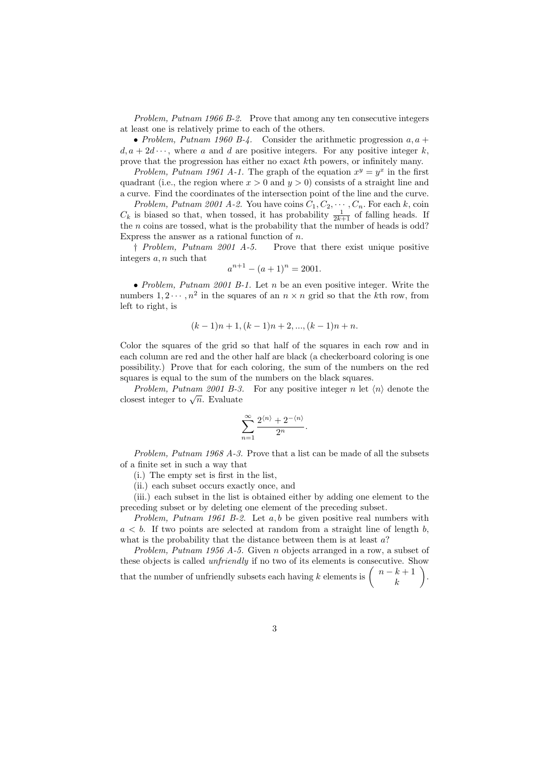Problem, Putnam 1966 B-2. Prove that among any ten consecutive integers at least one is relatively prime to each of the others.

• Problem, Putnam 1960 B-4. Consider the arithmetic progression  $a, a +$  $d, a + 2d \cdots$ , where a and d are positive integers. For any positive integer k, prove that the progression has either no exact kth powers, or infinitely many.

Problem, Putnam 1961 A-1. The graph of the equation  $x^y = y^x$  in the first quadrant (i.e., the region where  $x > 0$  and  $y > 0$ ) consists of a straight line and a curve. Find the coordinates of the intersection point of the line and the curve.

Problem, Putnam 2001 A-2. You have coins  $C_1, C_2, \cdots, C_n$ . For each k, coin  $C_k$  is biased so that, when tossed, it has probability  $\frac{1}{2k+1}$  of falling heads. If the  $n$  coins are tossed, what is the probability that the number of heads is odd? Express the answer as a rational function of  $n$ .

† Problem, Putnam 2001 A-5. Prove that there exist unique positive integers a, n such that

$$
a^{n+1} - (a+1)^n = 2001.
$$

• Problem, Putnam 2001 B-1. Let n be an even positive integer. Write the numbers  $1, 2 \cdots, n^2$  in the squares of an  $n \times n$  grid so that the kth row, from left to right, is

$$
(k-1)n+1
$$
,  $(k-1)n+2$ , ...,  $(k-1)n+n$ .

Color the squares of the grid so that half of the squares in each row and in each column are red and the other half are black (a checkerboard coloring is one possibility.) Prove that for each coloring, the sum of the numbers on the red squares is equal to the sum of the numbers on the black squares.

Problem, Putnam 2001 B-3. For any positive integer n let  $\langle n \rangle$  denote the *closest integer to*  $\sqrt{n}$ . Evaluate

$$
\sum_{n=1}^{\infty} \frac{2^{\langle n \rangle} + 2^{-\langle n \rangle}}{2^n}.
$$

Problem, Putnam 1968 A-3. Prove that a list can be made of all the subsets of a finite set in such a way that

(i.) The empty set is first in the list,

(ii.) each subset occurs exactly once, and

(iii.) each subset in the list is obtained either by adding one element to the preceding subset or by deleting one element of the preceding subset.

Problem, Putnam 1961 B-2. Let  $a, b$  be given positive real numbers with  $a < b$ . If two points are selected at random from a straight line of length b. what is the probability that the distance between them is at least  $a$ ?

Problem, Putnam 1956 A-5. Given n objects arranged in a row, a subset of these objects is called unfriendly if no two of its elements is consecutive. Show that the number of unfriendly subsets each having k elements is  $\begin{pmatrix} n-k+1 \\ k \end{pmatrix}$ k .